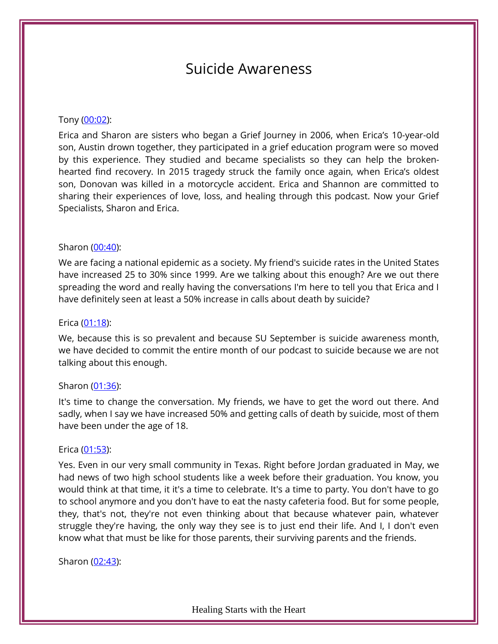# Suicide Awareness

#### Tony [\(00:02\)](https://www.temi.com/editor/t/wKPJwAl82cy1VwXM03CG4Bw1Ce61dAdok2G9zVC4Y10UtlmmAMhrPWliWo0XY3d7B6-X2p50zGig-G_ru3gLnPBOuBw?loadFrom=DocumentDeeplink&ts=2.92):

Erica and Sharon are sisters who began a Grief Journey in 2006, when Erica's 10-year-old son, Austin drown together, they participated in a grief education program were so moved by this experience. They studied and became specialists so they can help the brokenhearted find recovery. In 2015 tragedy struck the family once again, when Erica's oldest son, Donovan was killed in a motorcycle accident. Erica and Shannon are committed to sharing their experiences of love, loss, and healing through this podcast. Now your Grief Specialists, Sharon and Erica.

#### Sharon [\(00:40\)](https://www.temi.com/editor/t/7pDZkLb8OPYc-sT-1SoT_haIQAoQxXFWxsECbICIzIOlKhQD5mjmknwfNZ26Sh9SZ9nBmMtGFBh6Wz32mOlKCLZDfaY?loadFrom=DocumentDeeplink&ts=40.84):

We are facing a national epidemic as a society. My friend's suicide rates in the United States have increased 25 to 30% since 1999. Are we talking about this enough? Are we out there spreading the word and really having the conversations I'm here to tell you that Erica and I have definitely seen at least a 50% increase in calls about death by suicide?

#### Erica [\(01:18\)](https://www.temi.com/editor/t/7pDZkLb8OPYc-sT-1SoT_haIQAoQxXFWxsECbICIzIOlKhQD5mjmknwfNZ26Sh9SZ9nBmMtGFBh6Wz32mOlKCLZDfaY?loadFrom=DocumentDeeplink&ts=78.74):

We, because this is so prevalent and because SU September is suicide awareness month, we have decided to commit the entire month of our podcast to suicide because we are not talking about this enough.

#### Sharon [\(01:36\)](https://www.temi.com/editor/t/7pDZkLb8OPYc-sT-1SoT_haIQAoQxXFWxsECbICIzIOlKhQD5mjmknwfNZ26Sh9SZ9nBmMtGFBh6Wz32mOlKCLZDfaY?loadFrom=DocumentDeeplink&ts=96.95):

It's time to change the conversation. My friends, we have to get the word out there. And sadly, when I say we have increased 50% and getting calls of death by suicide, most of them have been under the age of 18.

#### Erica [\(01:53\)](https://www.temi.com/editor/t/7pDZkLb8OPYc-sT-1SoT_haIQAoQxXFWxsECbICIzIOlKhQD5mjmknwfNZ26Sh9SZ9nBmMtGFBh6Wz32mOlKCLZDfaY?loadFrom=DocumentDeeplink&ts=113.39):

Yes. Even in our very small community in Texas. Right before Jordan graduated in May, we had news of two high school students like a week before their graduation. You know, you would think at that time, it it's a time to celebrate. It's a time to party. You don't have to go to school anymore and you don't have to eat the nasty cafeteria food. But for some people, they, that's not, they're not even thinking about that because whatever pain, whatever struggle they're having, the only way they see is to just end their life. And I, I don't even know what that must be like for those parents, their surviving parents and the friends.

Sharon [\(02:43\)](https://www.temi.com/editor/t/7pDZkLb8OPYc-sT-1SoT_haIQAoQxXFWxsECbICIzIOlKhQD5mjmknwfNZ26Sh9SZ9nBmMtGFBh6Wz32mOlKCLZDfaY?loadFrom=DocumentDeeplink&ts=163.49):

Healing Starts with the Heart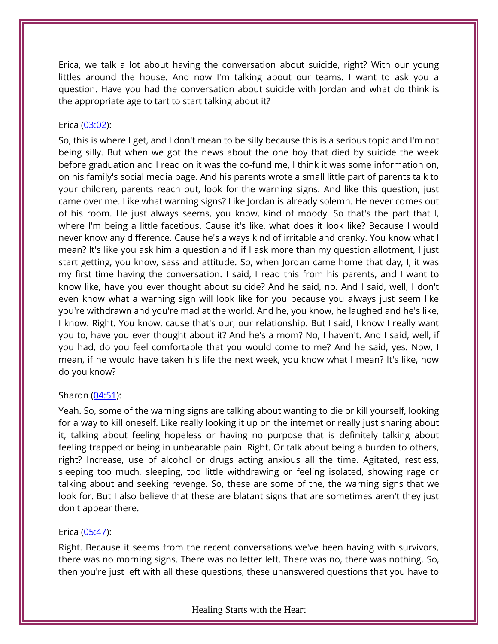Erica, we talk a lot about having the conversation about suicide, right? With our young littles around the house. And now I'm talking about our teams. I want to ask you a question. Have you had the conversation about suicide with Jordan and what do think is the appropriate age to tart to start talking about it?

## Erica [\(03:02\)](https://www.temi.com/editor/t/7pDZkLb8OPYc-sT-1SoT_haIQAoQxXFWxsECbICIzIOlKhQD5mjmknwfNZ26Sh9SZ9nBmMtGFBh6Wz32mOlKCLZDfaY?loadFrom=DocumentDeeplink&ts=182.98):

So, this is where I get, and I don't mean to be silly because this is a serious topic and I'm not being silly. But when we got the news about the one boy that died by suicide the week before graduation and I read on it was the co-fund me, I think it was some information on, on his family's social media page. And his parents wrote a small little part of parents talk to your children, parents reach out, look for the warning signs. And like this question, just came over me. Like what warning signs? Like Jordan is already solemn. He never comes out of his room. He just always seems, you know, kind of moody. So that's the part that I, where I'm being a little facetious. Cause it's like, what does it look like? Because I would never know any difference. Cause he's always kind of irritable and cranky. You know what I mean? It's like you ask him a question and if I ask more than my question allotment, I just start getting, you know, sass and attitude. So, when Jordan came home that day, I, it was my first time having the conversation. I said, I read this from his parents, and I want to know like, have you ever thought about suicide? And he said, no. And I said, well, I don't even know what a warning sign will look like for you because you always just seem like you're withdrawn and you're mad at the world. And he, you know, he laughed and he's like, I know. Right. You know, cause that's our, our relationship. But I said, I know I really want you to, have you ever thought about it? And he's a mom? No, I haven't. And I said, well, if you had, do you feel comfortable that you would come to me? And he said, yes. Now, I mean, if he would have taken his life the next week, you know what I mean? It's like, how do you know?

## Sharon [\(04:51\)](https://www.temi.com/editor/t/7pDZkLb8OPYc-sT-1SoT_haIQAoQxXFWxsECbICIzIOlKhQD5mjmknwfNZ26Sh9SZ9nBmMtGFBh6Wz32mOlKCLZDfaY?loadFrom=DocumentDeeplink&ts=291.73):

Yeah. So, some of the warning signs are talking about wanting to die or kill yourself, looking for a way to kill oneself. Like really looking it up on the internet or really just sharing about it, talking about feeling hopeless or having no purpose that is definitely talking about feeling trapped or being in unbearable pain. Right. Or talk about being a burden to others, right? Increase, use of alcohol or drugs acting anxious all the time. Agitated, restless, sleeping too much, sleeping, too little withdrawing or feeling isolated, showing rage or talking about and seeking revenge. So, these are some of the, the warning signs that we look for. But I also believe that these are blatant signs that are sometimes aren't they just don't appear there.

## Erica [\(05:47\)](https://www.temi.com/editor/t/7pDZkLb8OPYc-sT-1SoT_haIQAoQxXFWxsECbICIzIOlKhQD5mjmknwfNZ26Sh9SZ9nBmMtGFBh6Wz32mOlKCLZDfaY?loadFrom=DocumentDeeplink&ts=347.83):

Right. Because it seems from the recent conversations we've been having with survivors, there was no morning signs. There was no letter left. There was no, there was nothing. So, then you're just left with all these questions, these unanswered questions that you have to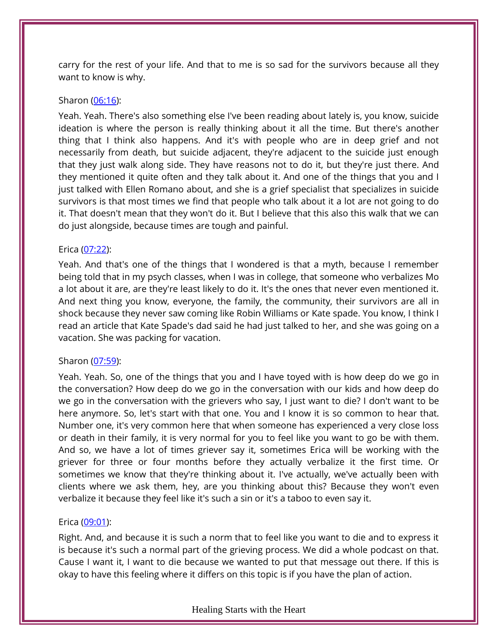carry for the rest of your life. And that to me is so sad for the survivors because all they want to know is why.

## Sharon [\(06:16\)](https://www.temi.com/editor/t/7pDZkLb8OPYc-sT-1SoT_haIQAoQxXFWxsECbICIzIOlKhQD5mjmknwfNZ26Sh9SZ9nBmMtGFBh6Wz32mOlKCLZDfaY?loadFrom=DocumentDeeplink&ts=376.58):

Yeah. Yeah. There's also something else I've been reading about lately is, you know, suicide ideation is where the person is really thinking about it all the time. But there's another thing that I think also happens. And it's with people who are in deep grief and not necessarily from death, but suicide adjacent, they're adjacent to the suicide just enough that they just walk along side. They have reasons not to do it, but they're just there. And they mentioned it quite often and they talk about it. And one of the things that you and I just talked with Ellen Romano about, and she is a grief specialist that specializes in suicide survivors is that most times we find that people who talk about it a lot are not going to do it. That doesn't mean that they won't do it. But I believe that this also this walk that we can do just alongside, because times are tough and painful.

## Erica [\(07:22\)](https://www.temi.com/editor/t/7pDZkLb8OPYc-sT-1SoT_haIQAoQxXFWxsECbICIzIOlKhQD5mjmknwfNZ26Sh9SZ9nBmMtGFBh6Wz32mOlKCLZDfaY?loadFrom=DocumentDeeplink&ts=442.35):

Yeah. And that's one of the things that I wondered is that a myth, because I remember being told that in my psych classes, when I was in college, that someone who verbalizes Mo a lot about it are, are they're least likely to do it. It's the ones that never even mentioned it. And next thing you know, everyone, the family, the community, their survivors are all in shock because they never saw coming like Robin Williams or Kate spade. You know, I think I read an article that Kate Spade's dad said he had just talked to her, and she was going on a vacation. She was packing for vacation.

# Sharon [\(07:59\)](https://www.temi.com/editor/t/7pDZkLb8OPYc-sT-1SoT_haIQAoQxXFWxsECbICIzIOlKhQD5mjmknwfNZ26Sh9SZ9nBmMtGFBh6Wz32mOlKCLZDfaY?loadFrom=DocumentDeeplink&ts=479.28):

Yeah. Yeah. So, one of the things that you and I have toyed with is how deep do we go in the conversation? How deep do we go in the conversation with our kids and how deep do we go in the conversation with the grievers who say, I just want to die? I don't want to be here anymore. So, let's start with that one. You and I know it is so common to hear that. Number one, it's very common here that when someone has experienced a very close loss or death in their family, it is very normal for you to feel like you want to go be with them. And so, we have a lot of times griever say it, sometimes Erica will be working with the griever for three or four months before they actually verbalize it the first time. Or sometimes we know that they're thinking about it. I've actually, we've actually been with clients where we ask them, hey, are you thinking about this? Because they won't even verbalize it because they feel like it's such a sin or it's a taboo to even say it.

# Erica [\(09:01\)](https://www.temi.com/editor/t/7pDZkLb8OPYc-sT-1SoT_haIQAoQxXFWxsECbICIzIOlKhQD5mjmknwfNZ26Sh9SZ9nBmMtGFBh6Wz32mOlKCLZDfaY?loadFrom=DocumentDeeplink&ts=541.23):

Right. And, and because it is such a norm that to feel like you want to die and to express it is because it's such a normal part of the grieving process. We did a whole podcast on that. Cause I want it, I want to die because we wanted to put that message out there. If this is okay to have this feeling where it differs on this topic is if you have the plan of action.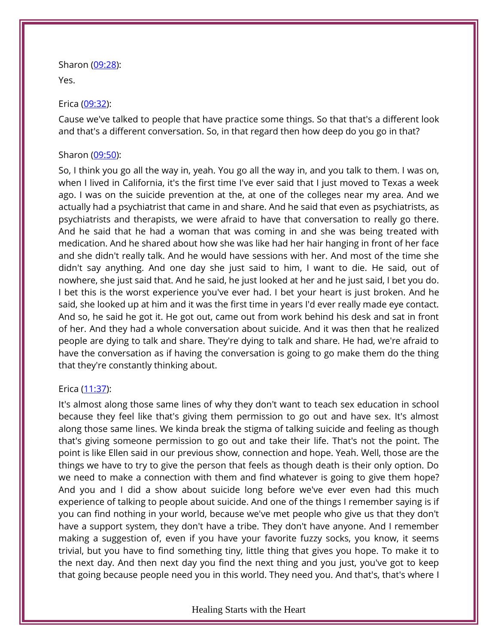Sharon [\(09:28\)](https://www.temi.com/editor/t/7pDZkLb8OPYc-sT-1SoT_haIQAoQxXFWxsECbICIzIOlKhQD5mjmknwfNZ26Sh9SZ9nBmMtGFBh6Wz32mOlKCLZDfaY?loadFrom=DocumentDeeplink&ts=568.65):

Yes.

## Erica [\(09:32\)](https://www.temi.com/editor/t/7pDZkLb8OPYc-sT-1SoT_haIQAoQxXFWxsECbICIzIOlKhQD5mjmknwfNZ26Sh9SZ9nBmMtGFBh6Wz32mOlKCLZDfaY?loadFrom=DocumentDeeplink&ts=572.58):

Cause we've talked to people that have practice some things. So that that's a different look and that's a different conversation. So, in that regard then how deep do you go in that?

## Sharon [\(09:50\)](https://www.temi.com/editor/t/7pDZkLb8OPYc-sT-1SoT_haIQAoQxXFWxsECbICIzIOlKhQD5mjmknwfNZ26Sh9SZ9nBmMtGFBh6Wz32mOlKCLZDfaY?loadFrom=DocumentDeeplink&ts=590.82):

So, I think you go all the way in, yeah. You go all the way in, and you talk to them. I was on, when I lived in California, it's the first time I've ever said that I just moved to Texas a week ago. I was on the suicide prevention at the, at one of the colleges near my area. And we actually had a psychiatrist that came in and share. And he said that even as psychiatrists, as psychiatrists and therapists, we were afraid to have that conversation to really go there. And he said that he had a woman that was coming in and she was being treated with medication. And he shared about how she was like had her hair hanging in front of her face and she didn't really talk. And he would have sessions with her. And most of the time she didn't say anything. And one day she just said to him, I want to die. He said, out of nowhere, she just said that. And he said, he just looked at her and he just said, I bet you do. I bet this is the worst experience you've ever had. I bet your heart is just broken. And he said, she looked up at him and it was the first time in years I'd ever really made eye contact. And so, he said he got it. He got out, came out from work behind his desk and sat in front of her. And they had a whole conversation about suicide. And it was then that he realized people are dying to talk and share. They're dying to talk and share. He had, we're afraid to have the conversation as if having the conversation is going to go make them do the thing that they're constantly thinking about.

# Erica [\(11:37\)](https://www.temi.com/editor/t/7pDZkLb8OPYc-sT-1SoT_haIQAoQxXFWxsECbICIzIOlKhQD5mjmknwfNZ26Sh9SZ9nBmMtGFBh6Wz32mOlKCLZDfaY?loadFrom=DocumentDeeplink&ts=697.13):

It's almost along those same lines of why they don't want to teach sex education in school because they feel like that's giving them permission to go out and have sex. It's almost along those same lines. We kinda break the stigma of talking suicide and feeling as though that's giving someone permission to go out and take their life. That's not the point. The point is like Ellen said in our previous show, connection and hope. Yeah. Well, those are the things we have to try to give the person that feels as though death is their only option. Do we need to make a connection with them and find whatever is going to give them hope? And you and I did a show about suicide long before we've ever even had this much experience of talking to people about suicide. And one of the things I remember saying is if you can find nothing in your world, because we've met people who give us that they don't have a support system, they don't have a tribe. They don't have anyone. And I remember making a suggestion of, even if you have your favorite fuzzy socks, you know, it seems trivial, but you have to find something tiny, little thing that gives you hope. To make it to the next day. And then next day you find the next thing and you just, you've got to keep that going because people need you in this world. They need you. And that's, that's where I

## Healing Starts with the Heart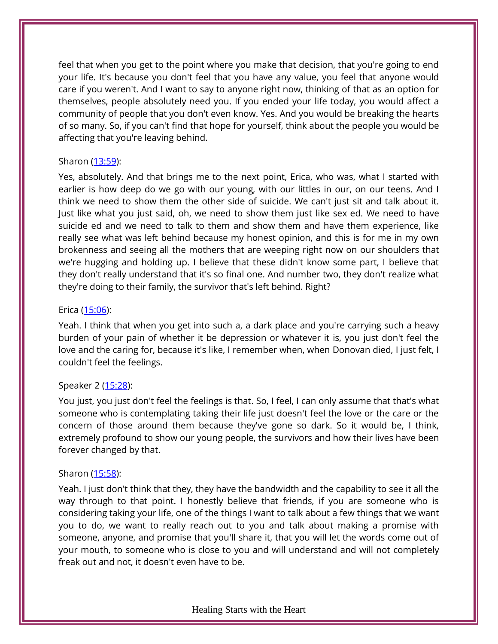feel that when you get to the point where you make that decision, that you're going to end your life. It's because you don't feel that you have any value, you feel that anyone would care if you weren't. And I want to say to anyone right now, thinking of that as an option for themselves, people absolutely need you. If you ended your life today, you would affect a community of people that you don't even know. Yes. And you would be breaking the hearts of so many. So, if you can't find that hope for yourself, think about the people you would be affecting that you're leaving behind.

## Sharon [\(13:59\)](https://www.temi.com/editor/t/7pDZkLb8OPYc-sT-1SoT_haIQAoQxXFWxsECbICIzIOlKhQD5mjmknwfNZ26Sh9SZ9nBmMtGFBh6Wz32mOlKCLZDfaY?loadFrom=DocumentDeeplink&ts=839.35):

Yes, absolutely. And that brings me to the next point, Erica, who was, what I started with earlier is how deep do we go with our young, with our littles in our, on our teens. And I think we need to show them the other side of suicide. We can't just sit and talk about it. Just like what you just said, oh, we need to show them just like sex ed. We need to have suicide ed and we need to talk to them and show them and have them experience, like really see what was left behind because my honest opinion, and this is for me in my own brokenness and seeing all the mothers that are weeping right now on our shoulders that we're hugging and holding up. I believe that these didn't know some part, I believe that they don't really understand that it's so final one. And number two, they don't realize what they're doing to their family, the survivor that's left behind. Right?

## Erica [\(15:06\)](https://www.temi.com/editor/t/7pDZkLb8OPYc-sT-1SoT_haIQAoQxXFWxsECbICIzIOlKhQD5mjmknwfNZ26Sh9SZ9nBmMtGFBh6Wz32mOlKCLZDfaY?loadFrom=DocumentDeeplink&ts=906.47):

Yeah. I think that when you get into such a, a dark place and you're carrying such a heavy burden of your pain of whether it be depression or whatever it is, you just don't feel the love and the caring for, because it's like, I remember when, when Donovan died, I just felt, I couldn't feel the feelings.

# Speaker 2 [\(15:28\)](https://www.temi.com/editor/t/7pDZkLb8OPYc-sT-1SoT_haIQAoQxXFWxsECbICIzIOlKhQD5mjmknwfNZ26Sh9SZ9nBmMtGFBh6Wz32mOlKCLZDfaY?loadFrom=DocumentDeeplink&ts=928.28):

You just, you just don't feel the feelings is that. So, I feel, I can only assume that that's what someone who is contemplating taking their life just doesn't feel the love or the care or the concern of those around them because they've gone so dark. So it would be, I think, extremely profound to show our young people, the survivors and how their lives have been forever changed by that.

## Sharon [\(15:58\)](https://www.temi.com/editor/t/7pDZkLb8OPYc-sT-1SoT_haIQAoQxXFWxsECbICIzIOlKhQD5mjmknwfNZ26Sh9SZ9nBmMtGFBh6Wz32mOlKCLZDfaY?loadFrom=DocumentDeeplink&ts=958.07):

Yeah. I just don't think that they, they have the bandwidth and the capability to see it all the way through to that point. I honestly believe that friends, if you are someone who is considering taking your life, one of the things I want to talk about a few things that we want you to do, we want to really reach out to you and talk about making a promise with someone, anyone, and promise that you'll share it, that you will let the words come out of your mouth, to someone who is close to you and will understand and will not completely freak out and not, it doesn't even have to be.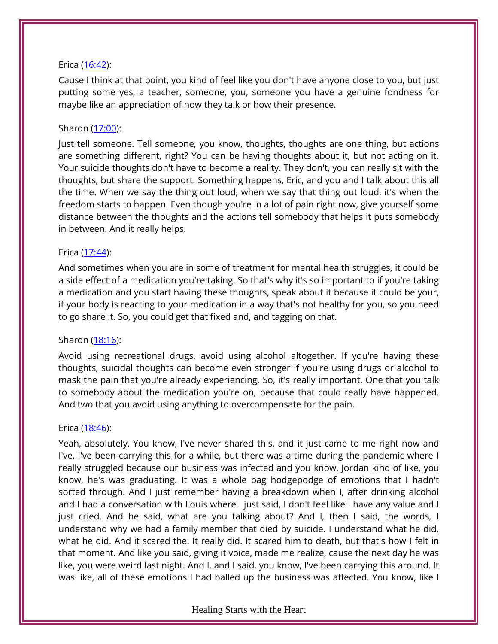## Erica [\(16:42\)](https://www.temi.com/editor/t/7pDZkLb8OPYc-sT-1SoT_haIQAoQxXFWxsECbICIzIOlKhQD5mjmknwfNZ26Sh9SZ9nBmMtGFBh6Wz32mOlKCLZDfaY?loadFrom=DocumentDeeplink&ts=1002.88):

Cause I think at that point, you kind of feel like you don't have anyone close to you, but just putting some yes, a teacher, someone, you, someone you have a genuine fondness for maybe like an appreciation of how they talk or how their presence.

## Sharon [\(17:00\)](https://www.temi.com/editor/t/7pDZkLb8OPYc-sT-1SoT_haIQAoQxXFWxsECbICIzIOlKhQD5mjmknwfNZ26Sh9SZ9nBmMtGFBh6Wz32mOlKCLZDfaY?loadFrom=DocumentDeeplink&ts=1020.67):

Just tell someone. Tell someone, you know, thoughts, thoughts are one thing, but actions are something different, right? You can be having thoughts about it, but not acting on it. Your suicide thoughts don't have to become a reality. They don't, you can really sit with the thoughts, but share the support. Something happens, Eric, and you and I talk about this all the time. When we say the thing out loud, when we say that thing out loud, it's when the freedom starts to happen. Even though you're in a lot of pain right now, give yourself some distance between the thoughts and the actions tell somebody that helps it puts somebody in between. And it really helps.

#### Erica [\(17:44\)](https://www.temi.com/editor/t/7pDZkLb8OPYc-sT-1SoT_haIQAoQxXFWxsECbICIzIOlKhQD5mjmknwfNZ26Sh9SZ9nBmMtGFBh6Wz32mOlKCLZDfaY?loadFrom=DocumentDeeplink&ts=1064.8):

And sometimes when you are in some of treatment for mental health struggles, it could be a side effect of a medication you're taking. So that's why it's so important to if you're taking a medication and you start having these thoughts, speak about it because it could be your, if your body is reacting to your medication in a way that's not healthy for you, so you need to go share it. So, you could get that fixed and, and tagging on that.

## Sharon [\(18:16\)](https://www.temi.com/editor/t/7pDZkLb8OPYc-sT-1SoT_haIQAoQxXFWxsECbICIzIOlKhQD5mjmknwfNZ26Sh9SZ9nBmMtGFBh6Wz32mOlKCLZDfaY?loadFrom=DocumentDeeplink&ts=1096.77):

Avoid using recreational drugs, avoid using alcohol altogether. If you're having these thoughts, suicidal thoughts can become even stronger if you're using drugs or alcohol to mask the pain that you're already experiencing. So, it's really important. One that you talk to somebody about the medication you're on, because that could really have happened. And two that you avoid using anything to overcompensate for the pain.

## Erica [\(18:46\)](https://www.temi.com/editor/t/7pDZkLb8OPYc-sT-1SoT_haIQAoQxXFWxsECbICIzIOlKhQD5mjmknwfNZ26Sh9SZ9nBmMtGFBh6Wz32mOlKCLZDfaY?loadFrom=DocumentDeeplink&ts=1126.8):

Yeah, absolutely. You know, I've never shared this, and it just came to me right now and I've, I've been carrying this for a while, but there was a time during the pandemic where I really struggled because our business was infected and you know, Jordan kind of like, you know, he's was graduating. It was a whole bag hodgepodge of emotions that I hadn't sorted through. And I just remember having a breakdown when I, after drinking alcohol and I had a conversation with Louis where I just said, I don't feel like I have any value and I just cried. And he said, what are you talking about? And I, then I said, the words, I understand why we had a family member that died by suicide. I understand what he did, what he did. And it scared the. It really did. It scared him to death, but that's how I felt in that moment. And like you said, giving it voice, made me realize, cause the next day he was like, you were weird last night. And I, and I said, you know, I've been carrying this around. It was like, all of these emotions I had balled up the business was affected. You know, like I

#### Healing Starts with the Heart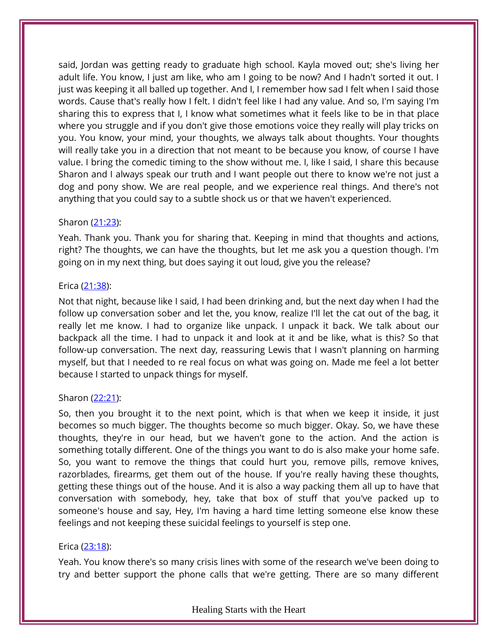said, Jordan was getting ready to graduate high school. Kayla moved out; she's living her adult life. You know, I just am like, who am I going to be now? And I hadn't sorted it out. I just was keeping it all balled up together. And I, I remember how sad I felt when I said those words. Cause that's really how I felt. I didn't feel like I had any value. And so, I'm saying I'm sharing this to express that I, I know what sometimes what it feels like to be in that place where you struggle and if you don't give those emotions voice they really will play tricks on you. You know, your mind, your thoughts, we always talk about thoughts. Your thoughts will really take you in a direction that not meant to be because you know, of course I have value. I bring the comedic timing to the show without me. I, like I said, I share this because Sharon and I always speak our truth and I want people out there to know we're not just a dog and pony show. We are real people, and we experience real things. And there's not anything that you could say to a subtle shock us or that we haven't experienced.

## Sharon [\(21:23\)](https://www.temi.com/editor/t/7pDZkLb8OPYc-sT-1SoT_haIQAoQxXFWxsECbICIzIOlKhQD5mjmknwfNZ26Sh9SZ9nBmMtGFBh6Wz32mOlKCLZDfaY?loadFrom=DocumentDeeplink&ts=1283.5):

Yeah. Thank you. Thank you for sharing that. Keeping in mind that thoughts and actions, right? The thoughts, we can have the thoughts, but let me ask you a question though. I'm going on in my next thing, but does saying it out loud, give you the release?

#### Erica [\(21:38\)](https://www.temi.com/editor/t/7pDZkLb8OPYc-sT-1SoT_haIQAoQxXFWxsECbICIzIOlKhQD5mjmknwfNZ26Sh9SZ9nBmMtGFBh6Wz32mOlKCLZDfaY?loadFrom=DocumentDeeplink&ts=1298.05):

Not that night, because like I said, I had been drinking and, but the next day when I had the follow up conversation sober and let the, you know, realize I'll let the cat out of the bag, it really let me know. I had to organize like unpack. I unpack it back. We talk about our backpack all the time. I had to unpack it and look at it and be like, what is this? So that follow-up conversation. The next day, reassuring Lewis that I wasn't planning on harming myself, but that I needed to re real focus on what was going on. Made me feel a lot better because I started to unpack things for myself.

## Sharon [\(22:21\)](https://www.temi.com/editor/t/7pDZkLb8OPYc-sT-1SoT_haIQAoQxXFWxsECbICIzIOlKhQD5mjmknwfNZ26Sh9SZ9nBmMtGFBh6Wz32mOlKCLZDfaY?loadFrom=DocumentDeeplink&ts=1341.76):

So, then you brought it to the next point, which is that when we keep it inside, it just becomes so much bigger. The thoughts become so much bigger. Okay. So, we have these thoughts, they're in our head, but we haven't gone to the action. And the action is something totally different. One of the things you want to do is also make your home safe. So, you want to remove the things that could hurt you, remove pills, remove knives, razorblades, firearms, get them out of the house. If you're really having these thoughts, getting these things out of the house. And it is also a way packing them all up to have that conversation with somebody, hey, take that box of stuff that you've packed up to someone's house and say, Hey, I'm having a hard time letting someone else know these feelings and not keeping these suicidal feelings to yourself is step one.

## Erica [\(23:18\)](https://www.temi.com/editor/t/7pDZkLb8OPYc-sT-1SoT_haIQAoQxXFWxsECbICIzIOlKhQD5mjmknwfNZ26Sh9SZ9nBmMtGFBh6Wz32mOlKCLZDfaY?loadFrom=DocumentDeeplink&ts=1398.61):

Yeah. You know there's so many crisis lines with some of the research we've been doing to try and better support the phone calls that we're getting. There are so many different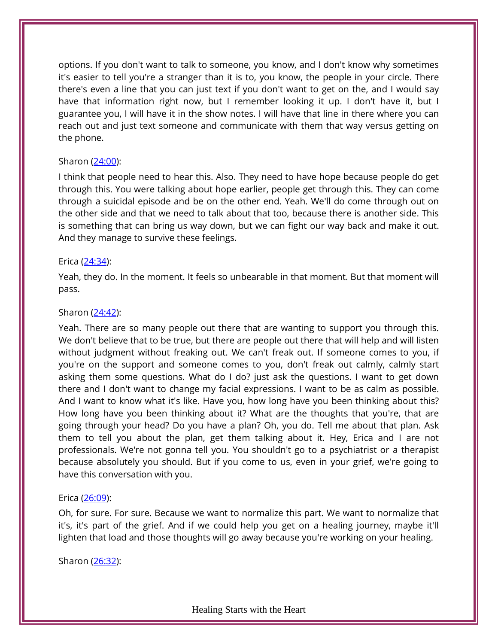options. If you don't want to talk to someone, you know, and I don't know why sometimes it's easier to tell you're a stranger than it is to, you know, the people in your circle. There there's even a line that you can just text if you don't want to get on the, and I would say have that information right now, but I remember looking it up. I don't have it, but I guarantee you, I will have it in the show notes. I will have that line in there where you can reach out and just text someone and communicate with them that way versus getting on the phone.

## Sharon [\(24:00\)](https://www.temi.com/editor/t/7pDZkLb8OPYc-sT-1SoT_haIQAoQxXFWxsECbICIzIOlKhQD5mjmknwfNZ26Sh9SZ9nBmMtGFBh6Wz32mOlKCLZDfaY?loadFrom=DocumentDeeplink&ts=1440.86):

I think that people need to hear this. Also. They need to have hope because people do get through this. You were talking about hope earlier, people get through this. They can come through a suicidal episode and be on the other end. Yeah. We'll do come through out on the other side and that we need to talk about that too, because there is another side. This is something that can bring us way down, but we can fight our way back and make it out. And they manage to survive these feelings.

## Erica [\(24:34\)](https://www.temi.com/editor/t/7pDZkLb8OPYc-sT-1SoT_haIQAoQxXFWxsECbICIzIOlKhQD5mjmknwfNZ26Sh9SZ9nBmMtGFBh6Wz32mOlKCLZDfaY?loadFrom=DocumentDeeplink&ts=1474.64):

Yeah, they do. In the moment. It feels so unbearable in that moment. But that moment will pass.

#### Sharon [\(24:42\)](https://www.temi.com/editor/t/7pDZkLb8OPYc-sT-1SoT_haIQAoQxXFWxsECbICIzIOlKhQD5mjmknwfNZ26Sh9SZ9nBmMtGFBh6Wz32mOlKCLZDfaY?loadFrom=DocumentDeeplink&ts=1482.47):

Yeah. There are so many people out there that are wanting to support you through this. We don't believe that to be true, but there are people out there that will help and will listen without judgment without freaking out. We can't freak out. If someone comes to you, if you're on the support and someone comes to you, don't freak out calmly, calmly start asking them some questions. What do I do? just ask the questions. I want to get down there and I don't want to change my facial expressions. I want to be as calm as possible. And I want to know what it's like. Have you, how long have you been thinking about this? How long have you been thinking about it? What are the thoughts that you're, that are going through your head? Do you have a plan? Oh, you do. Tell me about that plan. Ask them to tell you about the plan, get them talking about it. Hey, Erica and I are not professionals. We're not gonna tell you. You shouldn't go to a psychiatrist or a therapist because absolutely you should. But if you come to us, even in your grief, we're going to have this conversation with you.

## Erica [\(26:09\)](https://www.temi.com/editor/t/7pDZkLb8OPYc-sT-1SoT_haIQAoQxXFWxsECbICIzIOlKhQD5mjmknwfNZ26Sh9SZ9nBmMtGFBh6Wz32mOlKCLZDfaY?loadFrom=DocumentDeeplink&ts=1569.9):

Oh, for sure. For sure. Because we want to normalize this part. We want to normalize that it's, it's part of the grief. And if we could help you get on a healing journey, maybe it'll lighten that load and those thoughts will go away because you're working on your healing.

Sharon [\(26:32\)](https://www.temi.com/editor/t/7pDZkLb8OPYc-sT-1SoT_haIQAoQxXFWxsECbICIzIOlKhQD5mjmknwfNZ26Sh9SZ9nBmMtGFBh6Wz32mOlKCLZDfaY?loadFrom=DocumentDeeplink&ts=1592.13):